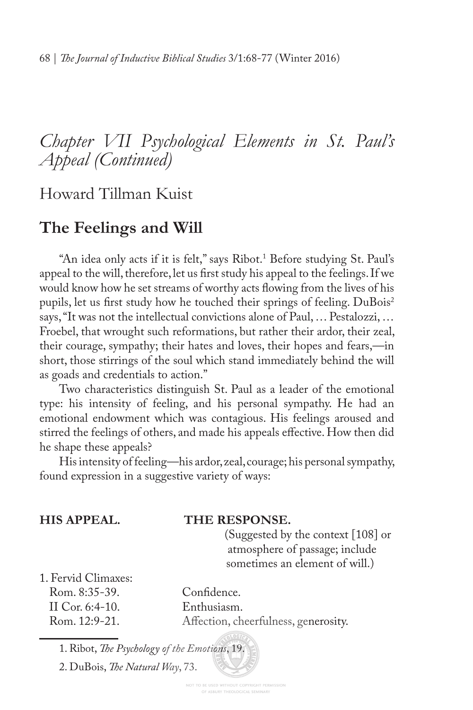# *Chapter VII Psychological Elements in St. Paul's Appeal (Continued)*

Howard Tillman Kuist

## **The Feelings and Will**

"An idea only acts if it is felt," says Ribot.1 Before studying St. Paul's appeal to the will, therefore, let us frst study his appeal to the feelings. If we would know how he set streams of worthy acts fowing from the lives of his pupils, let us first study how he touched their springs of feeling. DuBois<sup>2</sup> says, "It was not the intellectual convictions alone of Paul, … Pestalozzi, … Froebel, that wrought such reformations, but rather their ardor, their zeal, their courage, sympathy; their hates and loves, their hopes and fears,—in short, those stirrings of the soul which stand immediately behind the will as goads and credentials to action."

Two characteristics distinguish St. Paul as a leader of the emotional type: his intensity of feeling, and his personal sympathy. He had an emotional endowment which was contagious. His feelings aroused and stirred the feelings of others, and made his appeals efective. How then did he shape these appeals?

His intensity of feeling—his ardor, zeal, courage; his personal sympathy, found expression in a suggestive variety of ways:

| THE RESPONSE.                        |
|--------------------------------------|
| (Suggested by the context [108] or   |
| atmosphere of passage; include       |
| sometimes an element of will.)       |
|                                      |
| Confidence.                          |
| Enthusiasm.                          |
| Affection, cheerfulness, generosity. |
|                                      |

<sup>1.</sup> Ribot, *Te Psychology of the Emotions*, 19.

<sup>2.</sup> DuBois, *Te Natural Way*, 73.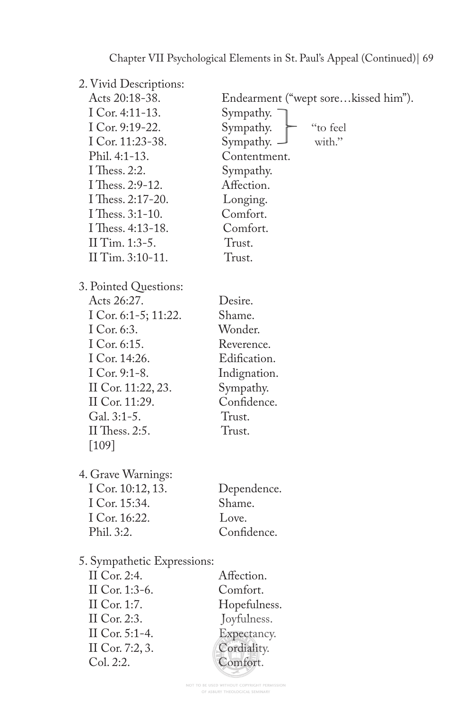Chapter VII Psychological Elements in St. Paul's Appeal (Continued)| 69

| 2. Vivid Descriptions:      |                                     |
|-----------------------------|-------------------------------------|
| Acts 20:18-38.              | Endearment ("wept sorekissed him"). |
| I Cor. 4:11-13.             | Sympathy.                           |
| I Cor. 9:19-22.             | Sympathy.<br>"to feel               |
| I Cor. 11:23-38.            | Sympathy. -<br>with."               |
| Phil. 4:1-13.               | Contentment.                        |
| I Thess. 2:2.               | Sympathy.                           |
| I Thess. 2:9-12.            | Affection.                          |
| I Thess. 2:17-20.           | Longing.                            |
| I Thess. 3:1-10.            | Comfort.                            |
| I Thess. 4:13-18.           | Comfort.                            |
| II Tim. 1:3-5.              | Trust.                              |
| II Tim. 3:10-11.            | Trust.                              |
| 3. Pointed Questions:       |                                     |
| Acts 26:27.                 | Desire.                             |
| I Cor. 6:1-5; 11:22.        | Shame.                              |
| I Cor. 6:3.                 | Wonder.                             |
| I Cor. 6:15.                | Reverence.                          |
| I Cor. 14:26.               | Edification.                        |
| I Cor. 9:1-8.               | Indignation.                        |
| II Cor. 11:22, 23.          | Sympathy.                           |
| II Cor. 11:29.              | Confidence.                         |
| Gal. 3:1-5.                 | Trust.                              |
| II Thess. 2:5.              | Trust.                              |
| $[109]$                     |                                     |
| 4. Grave Warnings:          |                                     |
| I Cor. 10:12, 13.           | Dependence.                         |
| I Cor. 15:34.               | Shame.                              |
| I Cor. 16:22.               | Love.                               |
| Phil. 3:2.                  | Confidence.                         |
| 5. Sympathetic Expressions: |                                     |
| 11 Cor. 2:4.                | Affection.                          |
| II Cor. 1:3-6.              | Comfort.                            |
| II Cor. 1:7.                | Hopefulness.                        |
| II Cor. 2:3.                | Joyfulness.                         |
| II Cor. 5:1-4.              | Expectancy.                         |
| II Cor. 7:2, 3.             | Cordiality.                         |
| Col. 2:2.                   | Comfort.                            |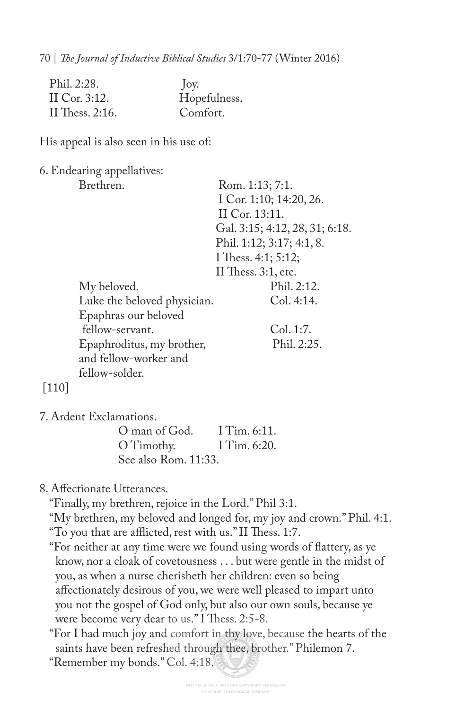70 | *Te Journal of Inductive Biblical Studies* 3/1:70-77 (Winter 2016)

| Phil. 2:28.      | $\int$ oy.   |
|------------------|--------------|
| II Cor. $3:12$ . | Hopefulness. |
| II Thess. 2:16.  | Comfort.     |

His appeal is also seen in his use of:

6. Endearing appellatives:

|     | Brethren.                   | Rom. 1:13; 7:1.                |
|-----|-----------------------------|--------------------------------|
|     |                             | I Cor. 1:10; 14:20, 26.        |
|     |                             | II Cor. 13:11.                 |
|     |                             | Gal. 3:15; 4:12, 28, 31; 6:18. |
|     |                             | Phil. 1:12; 3:17; 4:1, 8.      |
|     |                             | I Thess. 4:1; 5:12;            |
|     |                             | II Thess. $3:1$ , etc.         |
|     | My beloved.                 | Phil. 2:12.                    |
|     | Luke the beloved physician. | Col. 4:14.                     |
|     | Epaphras our beloved        |                                |
|     | fellow-servant.             | Col. 1:7.                      |
|     | Epaphroditus, my brother,   | Phil. 2:25.                    |
|     | and fellow-worker and       |                                |
|     | fellow-solder.              |                                |
| 110 |                             |                                |

7. Ardent Exclamations.

| O man of God.        | I Tim. $6:11$ . |
|----------------------|-----------------|
| O Timothy.           | I Tim. $6:20$ . |
| See also Rom. 11:33. |                 |

8. Afectionate Utterances.

"Finally, my brethren, rejoice in the Lord." Phil 3:1.

"My brethren, my beloved and longed for, my joy and crown." Phil. 4:1. "To you that are afflicted, rest with us." II Thess. 1:7.

"For neither at any time were we found using words of fattery, as ye know, nor a cloak of covetousness . . . but were gentle in the midst of you, as when a nurse cherisheth her children: even so being afectionately desirous of you, we were well pleased to impart unto you not the gospel of God only, but also our own souls, because ye were become very dear to us." I Thess. 2:5-8.

"For I had much joy and comfort in thy love, because the hearts of the saints have been refreshed through thee, brother." Philemon 7.

"Remember my bonds." Col. 4:18.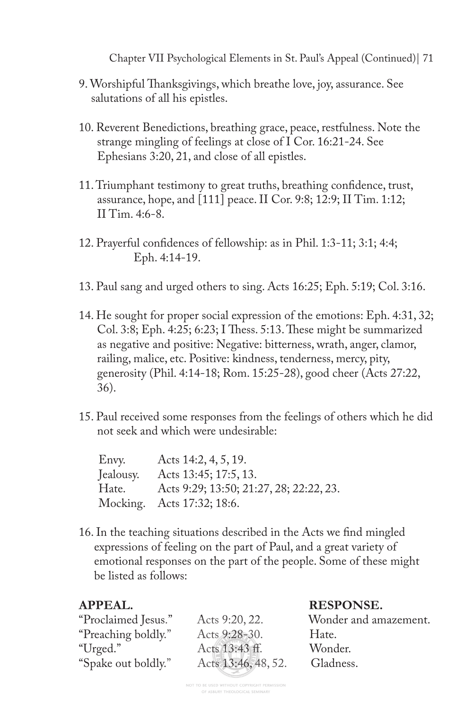Chapter VII Psychological Elements in St. Paul's Appeal (Continued)| 71

- 9. Worshipful Tanksgivings, which breathe love, joy, assurance. See salutations of all his epistles.
- 10. Reverent Benedictions, breathing grace, peace, restfulness. Note the strange mingling of feelings at close of I Cor. 16:21-24. See Ephesians 3:20, 21, and close of all epistles.
- 11. Triumphant testimony to great truths, breathing confdence, trust, assurance, hope, and [111] peace. II Cor. 9:8; 12:9; II Tim. 1:12; II Tim. 4:6-8.
- 12. Prayerful confdences of fellowship: as in Phil. 1:3-11; 3:1; 4:4; Eph. 4:14-19.
- 13. Paul sang and urged others to sing. Acts 16:25; Eph. 5:19; Col. 3:16.
- 14. He sought for proper social expression of the emotions: Eph. 4:31, 32; Col. 3:8; Eph. 4:25; 6:23; I Thess. 5:13. These might be summarized as negative and positive: Negative: bitterness, wrath, anger, clamor, railing, malice, etc. Positive: kindness, tenderness, mercy, pity, generosity (Phil. 4:14-18; Rom. 15:25-28), good cheer (Acts 27:22, 36).
- 15. Paul received some responses from the feelings of others which he did not seek and which were undesirable:

| Envy.     | Acts 14:2, 4, 5, 19.                    |
|-----------|-----------------------------------------|
| Jealousy. | Acts 13:45; 17:5, 13.                   |
| Hate.     | Acts 9:29; 13:50; 21:27, 28; 22:22, 23. |
|           | Mocking. Acts 17:32; 18:6.              |
|           |                                         |

16. In the teaching situations described in the Acts we fnd mingled expressions of feeling on the part of Paul, and a great variety of emotional responses on the part of the people. Some of these might be listed as follows:

### **APPEAL. RESPONSE.**

| "Proclaimed Jesus." | Acts 9:20, 22.      | Wonder and amazement. |
|---------------------|---------------------|-----------------------|
| "Preaching boldly." | Acts 9:28-30.       | Hate.                 |
| "Urged."            | Acts 13:43 ff.      | Wonder.               |
| "Spake out boldly." | Acts 13:46, 48, 52. | Gladness.             |
|                     |                     |                       |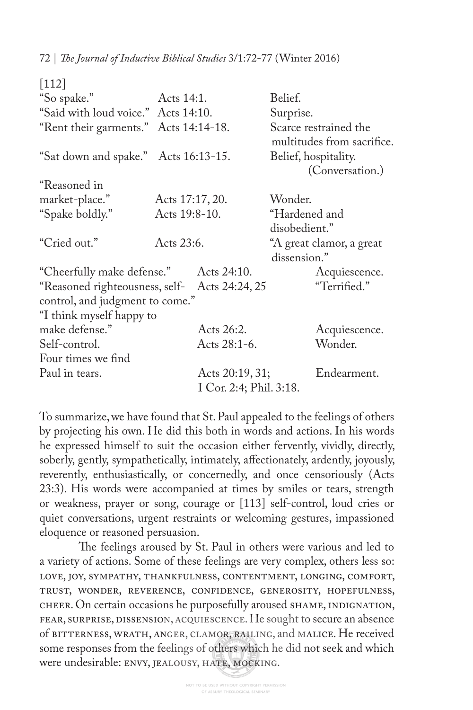72 | *Te Journal of Inductive Biblical Studies* 3/1:72-77 (Winter 2016)

| $[112]$                                       |                 |                                            |                                                     |               |
|-----------------------------------------------|-----------------|--------------------------------------------|-----------------------------------------------------|---------------|
| "So spake."                                   | Acts 14:1.      |                                            | Belief.                                             |               |
| "Said with loud voice." Acts 14:10.           |                 |                                            | Surprise.                                           |               |
| "Rent their garments." Acts 14:14-18.         |                 |                                            | Scarce restrained the<br>multitudes from sacrifice. |               |
| "Sat down and spake." Acts 16:13-15.          |                 |                                            | Belief, hospitality.<br>(Conversation.)             |               |
| "Reasoned in                                  |                 |                                            |                                                     |               |
| market-place."                                | Acts 17:17, 20. |                                            | Wonder.                                             |               |
| "Spake boldly."                               | Acts 19:8-10.   |                                            | "Hardened and                                       |               |
|                                               |                 |                                            | disobedient."                                       |               |
| "Cried out."                                  | Acts 23:6.      |                                            | "A great clamor, a great<br>dissension."            |               |
| "Cheerfully make defense."                    |                 | Acts 24:10.                                |                                                     | Acquiescence. |
| "Reasoned righteousness, self- Acts 24:24, 25 |                 |                                            |                                                     | "Terrified."  |
| control, and judgment to come."               |                 |                                            |                                                     |               |
| "I think myself happy to                      |                 |                                            |                                                     |               |
| make defense."                                |                 | Acts 26:2.                                 |                                                     | Acquiescence. |
| Self-control.                                 |                 | Acts 28:1-6.                               |                                                     | Wonder.       |
| Four times we find                            |                 |                                            |                                                     |               |
| Paul in tears.                                |                 | Acts 20:19, 31;<br>I Cor. 2:4; Phil. 3:18. |                                                     | Endearment.   |

To summarize, we have found that St. Paul appealed to the feelings of others by projecting his own. He did this both in words and actions. In his words he expressed himself to suit the occasion either fervently, vividly, directly, soberly, gently, sympathetically, intimately, afectionately, ardently, joyously, reverently, enthusiastically, or concernedly, and once censoriously (Acts 23:3). His words were accompanied at times by smiles or tears, strength or weakness, prayer or song, courage or [113] self-control, loud cries or quiet conversations, urgent restraints or welcoming gestures, impassioned eloquence or reasoned persuasion.

The feelings aroused by St. Paul in others were various and led to a variety of actions. Some of these feelings are very complex, others less so: love, joy, sympathy, thankfulness, contentment, longing, comfort, trust, wonder, reverence, confidence, generosity, hopefulness, cheer. On certain occasions he purposefully aroused shame, indignation, fear, surprise, dissension, acquiescence. He sought to secure an absence of bitterness, wrath, anger, clamor, railing, and malice. He received some responses from the feelings of others which he did not seek and which were undesirable: envy, jealousy, hate, mocking.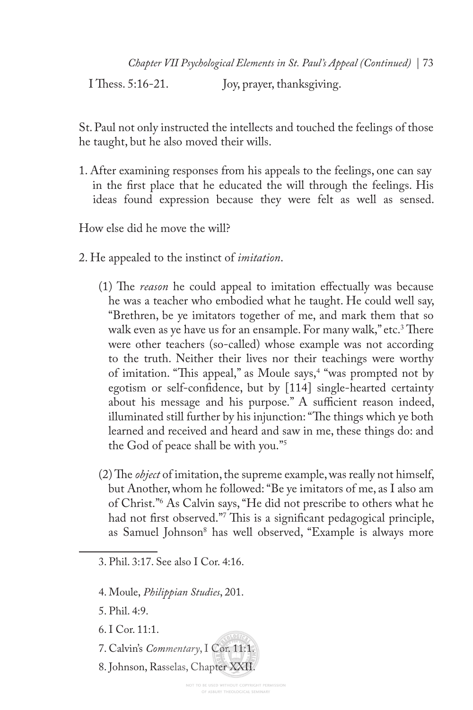I Thess. 5:16-21. Joy, prayer, thanksgiving.

St. Paul not only instructed the intellects and touched the feelings of those he taught, but he also moved their wills.

1. After examining responses from his appeals to the feelings, one can say in the frst place that he educated the will through the feelings. His ideas found expression because they were felt as well as sensed.

How else did he move the will?

- 2. He appealed to the instinct of *imitation*.
	- (1) The *reason* he could appeal to imitation effectually was because he was a teacher who embodied what he taught. He could well say, "Brethren, be ye imitators together of me, and mark them that so walk even as ye have us for an ensample. For many walk," etc.<sup>3</sup> There were other teachers (so-called) whose example was not according to the truth. Neither their lives nor their teachings were worthy of imitation. "This appeal," as Moule says,<sup>4</sup> "was prompted not by egotism or self-confdence, but by [114] single-hearted certainty about his message and his purpose." A sufficient reason indeed, illuminated still further by his injunction: "The things which ye both learned and received and heard and saw in me, these things do: and the God of peace shall be with you."5
	- $(2)$  The *object* of imitation, the supreme example, was really not himself, but Another, whom he followed: "Be ye imitators of me, as I also am of Christ."6 As Calvin says, "He did not prescribe to others what he had not first observed."<sup>7</sup> This is a significant pedagogical principle, as Samuel Johnson<sup>8</sup> has well observed, "Example is always more

- 4. Moule, *Philippian Studies*, 201.
- 5. Phil. 4:9.
- 6. I Cor. 11:1.
- 7. Calvin's *Commentary*, I Cor. 11:1.
- 8. Johnson, Rasselas, Chapter XXII.

<sup>3.</sup> Phil. 3:17. See also I Cor. 4:16.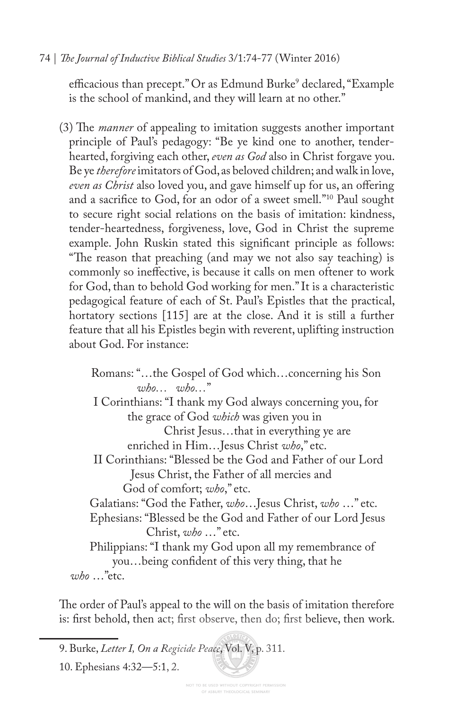#### 74 | *Te Journal of Inductive Biblical Studies* 3/1:74-77 (Winter 2016)

efficacious than precept." Or as Edmund Burke<sup>9</sup> declared, "Example is the school of mankind, and they will learn at no other."

(3) The *manner* of appealing to imitation suggests another important principle of Paul's pedagogy: "Be ye kind one to another, tenderhearted, forgiving each other, *even as God* also in Christ forgave you. Be ye *therefore* imitators of God, as beloved children; and walk in love, *even as Christ* also loved you, and gave himself up for us, an ofering and a sacrifce to God, for an odor of a sweet smell."10 Paul sought to secure right social relations on the basis of imitation: kindness, tender-heartedness, forgiveness, love, God in Christ the supreme example. John Ruskin stated this signifcant principle as follows: "The reason that preaching (and may we not also say teaching) is commonly so inefective, is because it calls on men oftener to work for God, than to behold God working for men." It is a characteristic pedagogical feature of each of St. Paul's Epistles that the practical, hortatory sections [115] are at the close. And it is still a further feature that all his Epistles begin with reverent, uplifting instruction about God. For instance:

 Romans: "…the Gospel of God which…concerning his Son *who… who…*" I Corinthians: "I thank my God always concerning you, for the grace of God *which* was given you in Christ Jesus…that in everything ye are enriched in Him…Jesus Christ *who*," etc. II Corinthians: "Blessed be the God and Father of our Lord Jesus Christ, the Father of all mercies and God of comfort; *who*," etc. Galatians: "God the Father, *who*…Jesus Christ, *who* …" etc. Ephesians: "Blessed be the God and Father of our Lord Jesus Christ, *who* …" etc. Philippians: "I thank my God upon all my remembrance of you…being confdent of this very thing, that he *who* …"etc.

The order of Paul's appeal to the will on the basis of imitation therefore is: frst behold, then act; frst observe, then do; frst believe, then work.

<sup>9.</sup> Burke, *Letter I, On a Regicide Peace*, Vol. V, p. 311.

<sup>10.</sup> Ephesians 4:32—5:1, 2.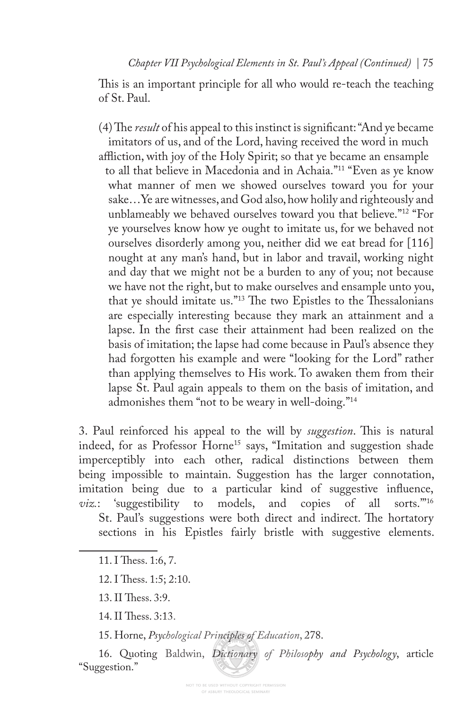This is an important principle for all who would re-teach the teaching of St. Paul.

(4) The *result* of his appeal to this instinct is significant: "And ye became" imitators of us, and of the Lord, having received the word in much afiction, with joy of the Holy Spirit; so that ye became an ensample to all that believe in Macedonia and in Achaia."11 "Even as ye know what manner of men we showed ourselves toward you for your sake…Ye are witnesses, and God also, how holily and righteously and unblameably we behaved ourselves toward you that believe."12 "For ye yourselves know how ye ought to imitate us, for we behaved not ourselves disorderly among you, neither did we eat bread for [116] nought at any man's hand, but in labor and travail, working night and day that we might not be a burden to any of you; not because we have not the right, but to make ourselves and ensample unto you, that ye should imitate us."<sup>13</sup> The two Epistles to the Thessalonians are especially interesting because they mark an attainment and a lapse. In the frst case their attainment had been realized on the basis of imitation; the lapse had come because in Paul's absence they had forgotten his example and were "looking for the Lord" rather than applying themselves to His work. To awaken them from their lapse St. Paul again appeals to them on the basis of imitation, and admonishes them "not to be weary in well-doing."14

3. Paul reinforced his appeal to the will by *suggestion*. This is natural indeed, for as Professor Horne<sup>15</sup> says, "Imitation and suggestion shade imperceptibly into each other, radical distinctions between them being impossible to maintain. Suggestion has the larger connotation, imitation being due to a particular kind of suggestive infuence, *viz.*: 'suggestibility to models, and copies of all sorts.'"16 St. Paul's suggestions were both direct and indirect. The hortatory sections in his Epistles fairly bristle with suggestive elements.

15. Horne, *Psychological Principles of Education*, 278.

16. Quoting Baldwin, *Dictionary of Philosophy and Psychology*, article "Suggestion."

<sup>11.</sup> I Thess. 1:6, 7.

<sup>12.</sup> I Thess. 1:5; 2:10.

<sup>13.</sup> II Thess. 3:9.

<sup>14.</sup> II Thess. 3:13.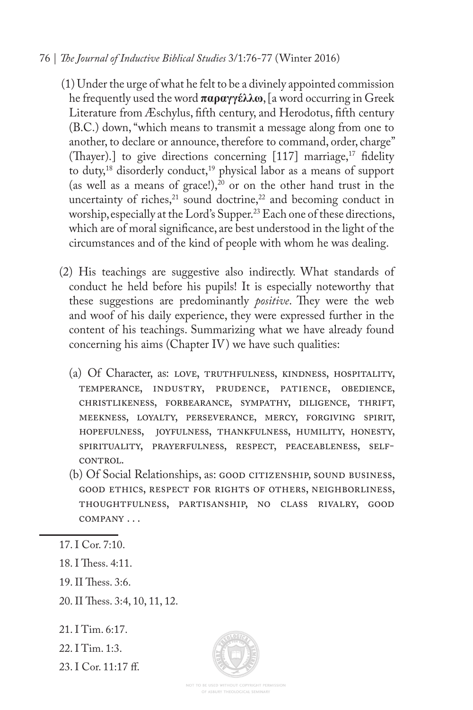#### 76 | *Te Journal of Inductive Biblical Studies* 3/1:76-77 (Winter 2016)

- (1) Under the urge of what he felt to be a divinely appointed commission he frequently used the word **παραγγέλλω**, [a word occurring in Greek Literature from Æschylus, ffth century, and Herodotus, ffth century (B.C.) down, "which means to transmit a message along from one to another, to declare or announce, therefore to command, order, charge" (Thayer).] to give directions concerning  $[117]$  marriage,<sup>17</sup> fidelity to duty,<sup>18</sup> disorderly conduct,<sup>19</sup> physical labor as a means of support (as well as a means of grace!), $20$  or on the other hand trust in the uncertainty of riches, $21$  sound doctrine, $22$  and becoming conduct in worship, especially at the Lord's Supper.<sup>23</sup> Each one of these directions, which are of moral signifcance, are best understood in the light of the circumstances and of the kind of people with whom he was dealing.
- (2) His teachings are suggestive also indirectly. What standards of conduct he held before his pupils! It is especially noteworthy that these suggestions are predominantly *positive*. They were the web and woof of his daily experience, they were expressed further in the content of his teachings. Summarizing what we have already found concerning his aims (Chapter IV) we have such qualities:
	- (a) Of Character, as: love, truthfulness, kindness, hospitality, temperance, industry, prudence, patience, obedience, christlikeness, forbearance, sympathy, diligence, thrift, meekness, loyalty, perseverance, mercy, forgiving spirit, hopefulness, joyfulness, thankfulness, humility, honesty, spirituality, prayerfulness, respect, peaceableness, self-CONTROL.
	- (b) Of Social Relationships, as: GOOD CITIZENSHIP, SOUND BUSINESS, good ethics, respect for rights of others, neighborliness, thoughtfulness, partisanship, no class rivalry, good company . . .

- 18. I Thess. 4:11.
- 19. II Thess. 3:6.
- 20. II Thess. 3:4, 10, 11, 12.
- 21. I Tim. 6:17.
- 22. I Tim. 1:3.
- 23. I Cor. 11:17 f.

<sup>17.</sup> I Cor. 7:10.